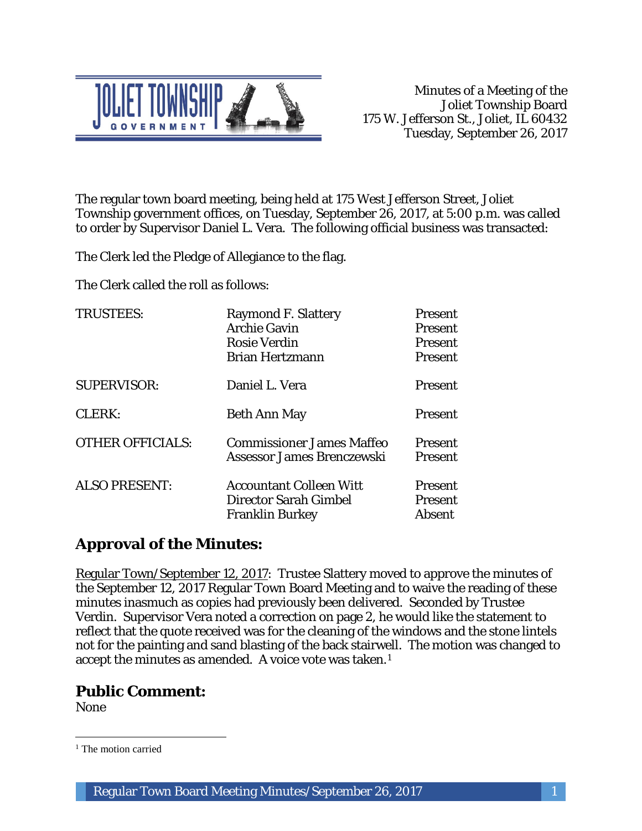

The regular town board meeting, being held at 175 West Jefferson Street, Joliet Township government offices, on Tuesday, September 26, 2017, at 5:00 p.m. was called to order by Supervisor Daniel L. Vera. The following official business was transacted:

The Clerk led the Pledge of Allegiance to the flag.

The Clerk called the roll as follows:

| <b>TRUSTEES:</b>        | <b>Raymond F. Slattery</b><br><b>Archie Gavin</b><br><b>Rosie Verdin</b><br><b>Brian Hertzmann</b> | Present<br><b>Present</b><br>Present<br>Present |
|-------------------------|----------------------------------------------------------------------------------------------------|-------------------------------------------------|
| <b>SUPERVISOR:</b>      | Daniel L. Vera                                                                                     | Present                                         |
| CLERK:                  | <b>Beth Ann May</b>                                                                                | Present                                         |
| <b>OTHER OFFICIALS:</b> | <b>Commissioner James Maffeo</b><br>Assessor James Brenczewski                                     | <b>Present</b><br><b>Present</b>                |
| <b>ALSO PRESENT:</b>    | <b>Accountant Colleen Witt</b><br>Director Sarah Gimbel<br><b>Franklin Burkey</b>                  | <b>Present</b><br><b>Present</b><br>Absent      |

# **Approval of the Minutes:**

Regular Town/September 12, 2017: Trustee Slattery moved to approve the minutes of the September 12, 2017 Regular Town Board Meeting and to waive the reading of these minutes inasmuch as copies had previously been delivered. Seconded by Trustee Verdin. Supervisor Vera noted a correction on page 2, he would like the statement to reflect that the quote received was for the cleaning of the windows and the stone lintels not for the painting and sand blasting of the back stairwell. The motion was changed to accept the minutes as amended. A voice vote was taken.1

## **Public Comment:**

None

 $\overline{a}$ <sup>1</sup> The motion carried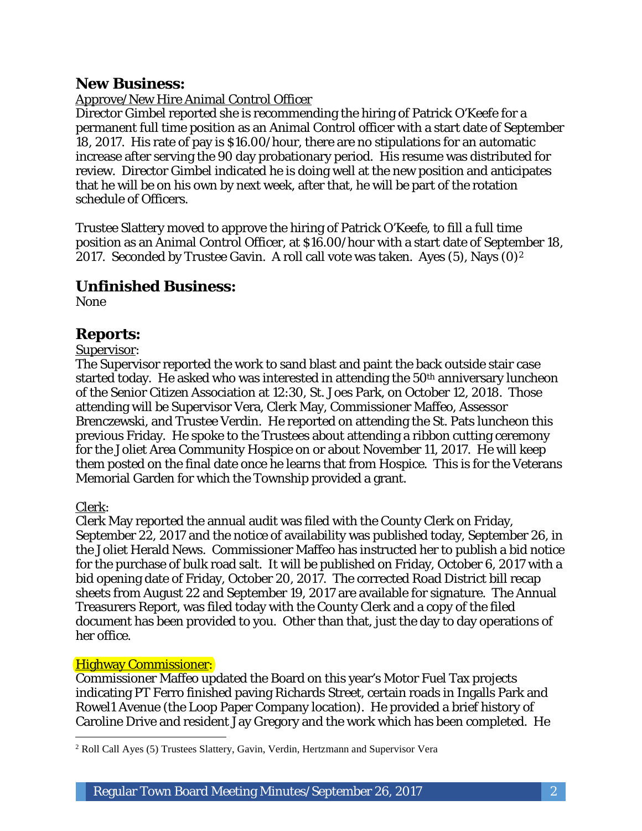## **New Business:**

### Approve/New Hire Animal Control Officer

Director Gimbel reported she is recommending the hiring of Patrick O'Keefe for a permanent full time position as an Animal Control officer with a start date of September 18, 2017. His rate of pay is \$16.00/hour, there are no stipulations for an automatic increase after serving the 90 day probationary period. His resume was distributed for review. Director Gimbel indicated he is doing well at the new position and anticipates that he will be on his own by next week, after that, he will be part of the rotation schedule of Officers.

Trustee Slattery moved to approve the hiring of Patrick O'Keefe, to fill a full time position as an Animal Control Officer, at \$16.00/hour with a start date of September 18, 2017. Seconded by Trustee Gavin. A roll call vote was taken. Ayes  $(5)$ , Nays  $(0)^2$ 

## **Unfinished Business:**

None

## **Reports:**

#### Supervisor:

The Supervisor reported the work to sand blast and paint the back outside stair case started today. He asked who was interested in attending the 50<sup>th</sup> anniversary luncheon of the Senior Citizen Association at 12:30, St. Joes Park, on October 12, 2018. Those attending will be Supervisor Vera, Clerk May, Commissioner Maffeo, Assessor Brenczewski, and Trustee Verdin. He reported on attending the St. Pats luncheon this previous Friday. He spoke to the Trustees about attending a ribbon cutting ceremony for the Joliet Area Community Hospice on or about November 11, 2017. He will keep them posted on the final date once he learns that from Hospice. This is for the Veterans Memorial Garden for which the Township provided a grant.

#### Clerk:

Clerk May reported the annual audit was filed with the County Clerk on Friday, September 22, 2017 and the notice of availability was published today, September 26, in the Joliet Herald News. Commissioner Maffeo has instructed her to publish a bid notice for the purchase of bulk road salt. It will be published on Friday, October 6, 2017 with a bid opening date of Friday, October 20, 2017. The corrected Road District bill recap sheets from August 22 and September 19, 2017 are available for signature. The Annual Treasurers Report, was filed today with the County Clerk and a copy of the filed document has been provided to you. Other than that, just the day to day operations of her office.

#### Highway Commissioner:

Commissioner Maffeo updated the Board on this year's Motor Fuel Tax projects indicating PT Ferro finished paving Richards Street, certain roads in Ingalls Park and Rowel1 Avenue (the Loop Paper Company location). He provided a brief history of Caroline Drive and resident Jay Gregory and the work which has been completed. He

 $\overline{a}$ <sup>2</sup> Roll Call Ayes (5) Trustees Slattery, Gavin, Verdin, Hertzmann and Supervisor Vera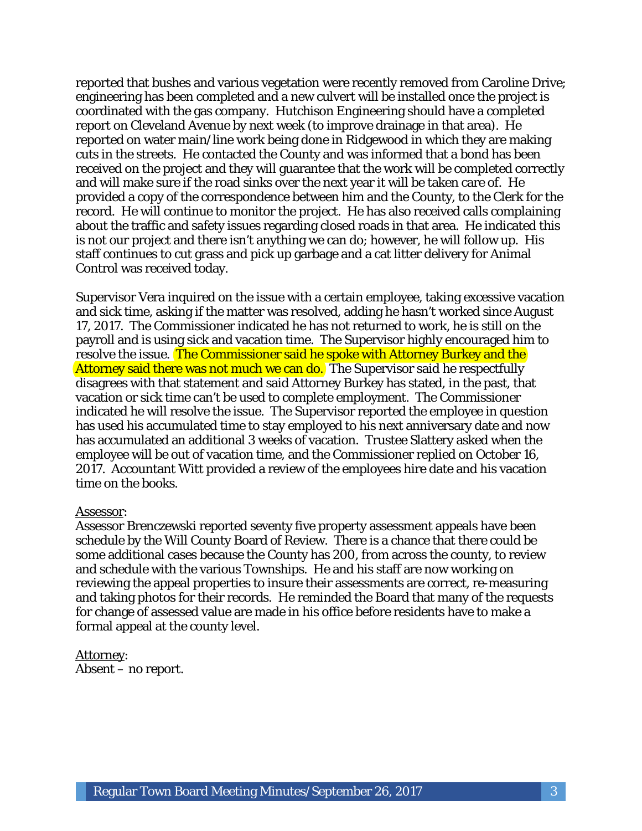reported that bushes and various vegetation were recently removed from Caroline Drive; engineering has been completed and a new culvert will be installed once the project is coordinated with the gas company. Hutchison Engineering should have a completed report on Cleveland Avenue by next week (to improve drainage in that area). He reported on water main/line work being done in Ridgewood in which they are making cuts in the streets. He contacted the County and was informed that a bond has been received on the project and they will guarantee that the work will be completed correctly and will make sure if the road sinks over the next year it will be taken care of. He provided a copy of the correspondence between him and the County, to the Clerk for the record. He will continue to monitor the project. He has also received calls complaining about the traffic and safety issues regarding closed roads in that area. He indicated this is not our project and there isn't anything we can do; however, he will follow up. His staff continues to cut grass and pick up garbage and a cat litter delivery for Animal Control was received today.

Supervisor Vera inquired on the issue with a certain employee, taking excessive vacation and sick time, asking if the matter was resolved, adding he hasn't worked since August 17, 2017. The Commissioner indicated he has not returned to work, he is still on the payroll and is using sick and vacation time. The Supervisor highly encouraged him to resolve the issue. The Commissioner said he spoke with Attorney Burkey and the Attorney said there was not much we can do. The Supervisor said he respectfully disagrees with that statement and said Attorney Burkey has stated, in the past, that vacation or sick time can't be used to complete employment. The Commissioner indicated he will resolve the issue. The Supervisor reported the employee in question has used his accumulated time to stay employed to his next anniversary date and now has accumulated an additional 3 weeks of vacation. Trustee Slattery asked when the employee will be out of vacation time, and the Commissioner replied on October 16, 2017. Accountant Witt provided a review of the employees hire date and his vacation time on the books.

#### Assessor:

Assessor Brenczewski reported seventy five property assessment appeals have been schedule by the Will County Board of Review. There is a chance that there could be some additional cases because the County has 200, from across the county, to review and schedule with the various Townships. He and his staff are now working on reviewing the appeal properties to insure their assessments are correct, re-measuring and taking photos for their records. He reminded the Board that many of the requests for change of assessed value are made in his office before residents have to make a formal appeal at the county level.

Attorney: Absent – no report.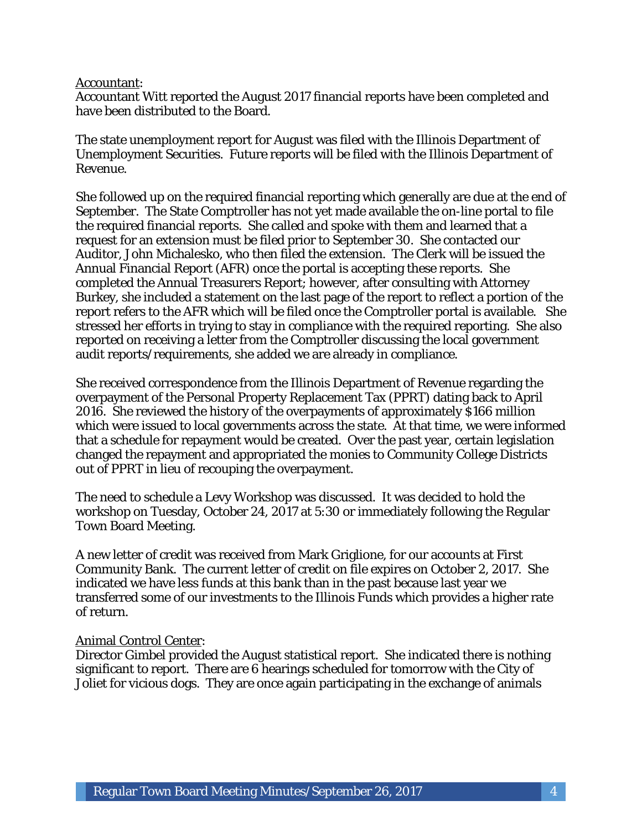#### Accountant:

Accountant Witt reported the August 2017 financial reports have been completed and have been distributed to the Board.

The state unemployment report for August was filed with the Illinois Department of Unemployment Securities. Future reports will be filed with the Illinois Department of Revenue.

She followed up on the required financial reporting which generally are due at the end of September. The State Comptroller has not yet made available the on-line portal to file the required financial reports. She called and spoke with them and learned that a request for an extension must be filed prior to September 30. She contacted our Auditor, John Michalesko, who then filed the extension. The Clerk will be issued the Annual Financial Report (AFR) once the portal is accepting these reports. She completed the Annual Treasurers Report; however, after consulting with Attorney Burkey, she included a statement on the last page of the report to reflect a portion of the report refers to the AFR which will be filed once the Comptroller portal is available. She stressed her efforts in trying to stay in compliance with the required reporting. She also reported on receiving a letter from the Comptroller discussing the local government audit reports/requirements, she added we are already in compliance.

She received correspondence from the Illinois Department of Revenue regarding the overpayment of the Personal Property Replacement Tax (PPRT) dating back to April 2016. She reviewed the history of the overpayments of approximately \$166 million which were issued to local governments across the state. At that time, we were informed that a schedule for repayment would be created. Over the past year, certain legislation changed the repayment and appropriated the monies to Community College Districts out of PPRT in lieu of recouping the overpayment.

The need to schedule a Levy Workshop was discussed. It was decided to hold the workshop on Tuesday, October 24, 2017 at 5:30 or immediately following the Regular Town Board Meeting.

A new letter of credit was received from Mark Griglione, for our accounts at First Community Bank. The current letter of credit on file expires on October 2, 2017. She indicated we have less funds at this bank than in the past because last year we transferred some of our investments to the Illinois Funds which provides a higher rate of return.

#### Animal Control Center:

Director Gimbel provided the August statistical report. She indicated there is nothing significant to report. There are 6 hearings scheduled for tomorrow with the City of Joliet for vicious dogs. They are once again participating in the exchange of animals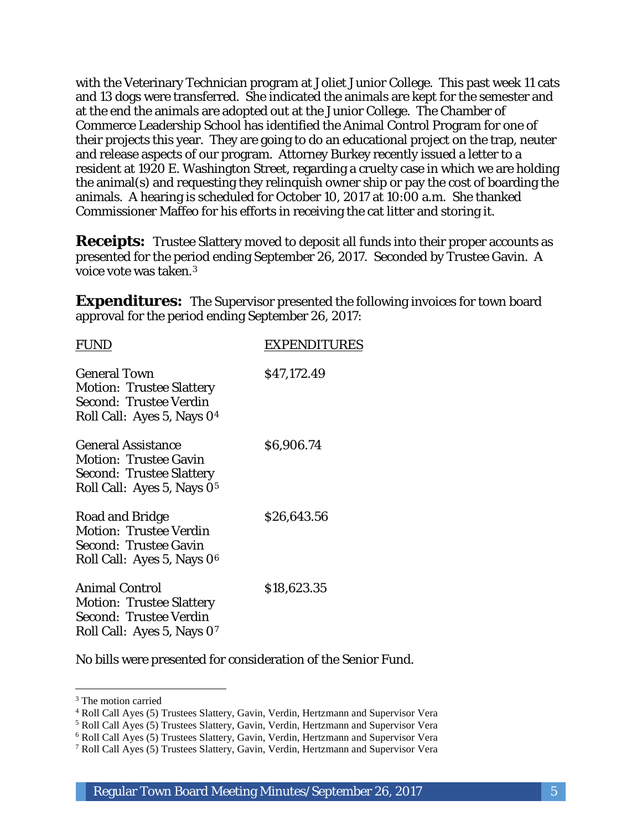with the Veterinary Technician program at Joliet Junior College. This past week 11 cats and 13 dogs were transferred. She indicated the animals are kept for the semester and at the end the animals are adopted out at the Junior College. The Chamber of Commerce Leadership School has identified the Animal Control Program for one of their projects this year. They are going to do an educational project on the trap, neuter and release aspects of our program. Attorney Burkey recently issued a letter to a resident at 1920 E. Washington Street, regarding a cruelty case in which we are holding the animal(s) and requesting they relinquish owner ship or pay the cost of boarding the animals. A hearing is scheduled for October 10, 2017 at 10:00 a.m. She thanked Commissioner Maffeo for his efforts in receiving the cat litter and storing it.

**Receipts:** Trustee Slattery moved to deposit all funds into their proper accounts as presented for the period ending September 26, 2017. Seconded by Trustee Gavin. A voice vote was taken.3

**Expenditures:** The Supervisor presented the following invoices for town board approval for the period ending September 26, 2017:

| <b>FUND</b>                                                                                                                            | <b>EXPENDITURES</b> |
|----------------------------------------------------------------------------------------------------------------------------------------|---------------------|
| <b>General Town</b><br><b>Motion: Trustee Slattery</b><br>Second: Trustee Verdin<br>Roll Call: Ayes 5, Nays 04                         | \$47,172.49         |
| <b>General Assistance</b><br><b>Motion: Trustee Gavin</b><br><b>Second: Trustee Slattery</b><br>Roll Call: Ayes 5, Nays 0 <sup>5</sup> | \$6,906.74          |
| Road and Bridge<br><b>Motion: Trustee Verdin</b><br><b>Second: Trustee Gavin</b><br>Roll Call: Ayes 5, Nays 0 <sup>6</sup>             | \$26,643.56         |
| <b>Animal Control</b><br><b>Motion: Trustee Slattery</b><br>Second: Trustee Verdin<br>Roll Call: Ayes 5, Nays 07                       | \$18,623.35         |

No bills were presented for consideration of the Senior Fund.

I

<sup>&</sup>lt;sup>3</sup> The motion carried

<sup>4</sup> Roll Call Ayes (5) Trustees Slattery, Gavin, Verdin, Hertzmann and Supervisor Vera

<sup>5</sup> Roll Call Ayes (5) Trustees Slattery, Gavin, Verdin, Hertzmann and Supervisor Vera

<sup>6</sup> Roll Call Ayes (5) Trustees Slattery, Gavin, Verdin, Hertzmann and Supervisor Vera

<sup>7</sup> Roll Call Ayes (5) Trustees Slattery, Gavin, Verdin, Hertzmann and Supervisor Vera